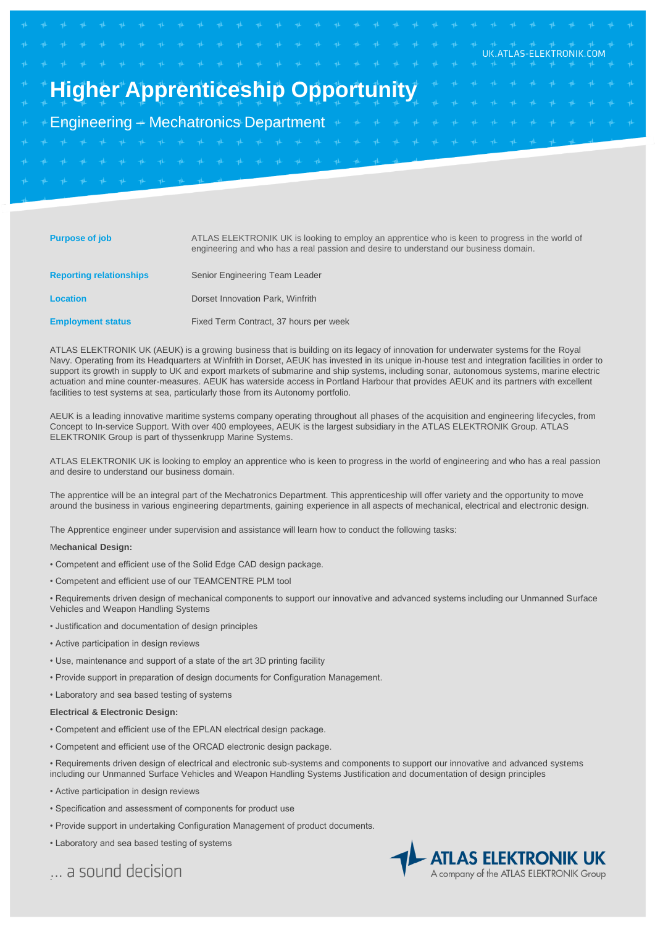# **Higher Apprenticeship Opportunity**

Engineering – Mechatronics Department

| <b>Purpose of job</b>          | ATLAS ELEKTRONIK UK is looking to employ an apprentice who is keen to progress in the world of<br>engineering and who has a real passion and desire to understand our business domain. |
|--------------------------------|----------------------------------------------------------------------------------------------------------------------------------------------------------------------------------------|
| <b>Reporting relationships</b> | Senior Engineering Team Leader                                                                                                                                                         |
| <b>Location</b>                | Dorset Innovation Park, Winfrith                                                                                                                                                       |
| <b>Employment status</b>       | Fixed Term Contract, 37 hours per week                                                                                                                                                 |

ATLAS ELEKTRONIK UK (AEUK) is a growing business that is building on its legacy of innovation for underwater systems for the Royal Navy. Operating from its Headquarters at Winfrith in Dorset, AEUK has invested in its unique in-house test and integration facilities in order to support its growth in supply to UK and export markets of submarine and ship systems, including sonar, autonomous systems, marine electric actuation and mine counter-measures. AEUK has waterside access in Portland Harbour that provides AEUK and its partners with excellent facilities to test systems at sea, particularly those from its Autonomy portfolio.

AEUK is a leading innovative maritime systems company operating throughout all phases of the acquisition and engineering lifecycles, from Concept to In-service Support. With over 400 employees, AEUK is the largest subsidiary in the ATLAS ELEKTRONIK Group. ATLAS ELEKTRONIK Group is part of thyssenkrupp Marine Systems.

ATLAS ELEKTRONIK UK is looking to employ an apprentice who is keen to progress in the world of engineering and who has a real passion and desire to understand our business domain.

The apprentice will be an integral part of the Mechatronics Department. This apprenticeship will offer variety and the opportunity to move around the business in various engineering departments, gaining experience in all aspects of mechanical, electrical and electronic design.

The Apprentice engineer under supervision and assistance will learn how to conduct the following tasks:

#### M**echanical Design:**

- Competent and efficient use of the Solid Edge CAD design package.
- Competent and efficient use of our TEAMCENTRE PLM tool
- Requirements driven design of mechanical components to support our innovative and advanced systems including our Unmanned Surface Vehicles and Weapon Handling Systems
- Justification and documentation of design principles
- Active participation in design reviews
- Use, maintenance and support of a state of the art 3D printing facility
- Provide support in preparation of design documents for Configuration Management.
- Laboratory and sea based testing of systems

### **Electrical & Electronic Design:**

- Competent and efficient use of the EPLAN electrical design package.
- Competent and efficient use of the ORCAD electronic design package.
- Requirements driven design of electrical and electronic sub-systems and components to support our innovative and advanced systems including our Unmanned Surface Vehicles and Weapon Handling Systems Justification and documentation of design principles
- Active participation in design reviews
- Specification and assessment of components for product use
- Provide support in undertaking Configuration Management of product documents.
- Laboratory and sea based testing of systems

... a sound decision



UK.ATLAS-ELEKTRONIK.COM